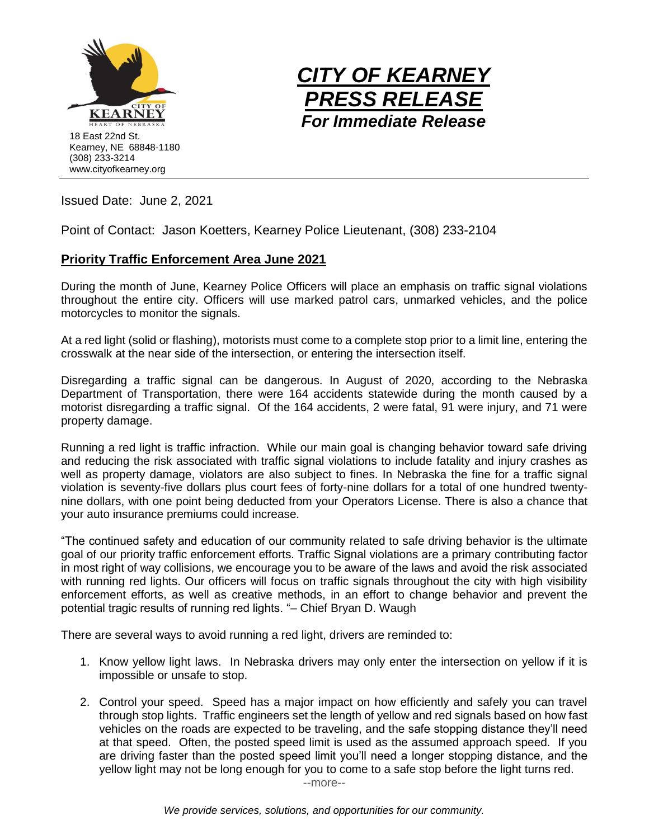



Issued Date: June 2, 2021

Point of Contact: Jason Koetters, Kearney Police Lieutenant, (308) 233-2104

## **Priority Traffic Enforcement Area June 2021**

During the month of June, Kearney Police Officers will place an emphasis on traffic signal violations throughout the entire city. Officers will use marked patrol cars, unmarked vehicles, and the police motorcycles to monitor the signals.

At a red light (solid or flashing), motorists must come to a complete stop prior to a limit line, entering the crosswalk at the near side of the intersection, or entering the intersection itself.

Disregarding a traffic signal can be dangerous. In August of 2020, according to the Nebraska Department of Transportation, there were 164 accidents statewide during the month caused by a motorist disregarding a traffic signal. Of the 164 accidents, 2 were fatal, 91 were injury, and 71 were property damage.

Running a red light is traffic infraction. While our main goal is changing behavior toward safe driving and reducing the risk associated with traffic signal violations to include fatality and injury crashes as well as property damage, violators are also subject to fines. In Nebraska the fine for a traffic signal violation is seventy-five dollars plus court fees of forty-nine dollars for a total of one hundred twentynine dollars, with one point being deducted from your Operators License. There is also a chance that your auto insurance premiums could increase.

"The continued safety and education of our community related to safe driving behavior is the ultimate goal of our priority traffic enforcement efforts. Traffic Signal violations are a primary contributing factor in most right of way collisions, we encourage you to be aware of the laws and avoid the risk associated with running red lights. Our officers will focus on traffic signals throughout the city with high visibility enforcement efforts, as well as creative methods, in an effort to change behavior and prevent the potential tragic results of running red lights. "– Chief Bryan D. Waugh

There are several ways to avoid running a red light, drivers are reminded to:

- 1. Know yellow light laws. In Nebraska drivers may only enter the intersection on yellow if it is impossible or unsafe to stop.
- 2. Control your speed. Speed has a major impact on how efficiently and safely you can travel through stop lights. Traffic engineers set the length of yellow and red signals based on how fast vehicles on the roads are expected to be traveling, and the safe stopping distance they'll need at that speed. Often, the posted speed limit is used as the assumed approach speed. If you are driving faster than the posted speed limit you'll need a longer stopping distance, and the yellow light may not be long enough for you to come to a safe stop before the light turns red.

--more--